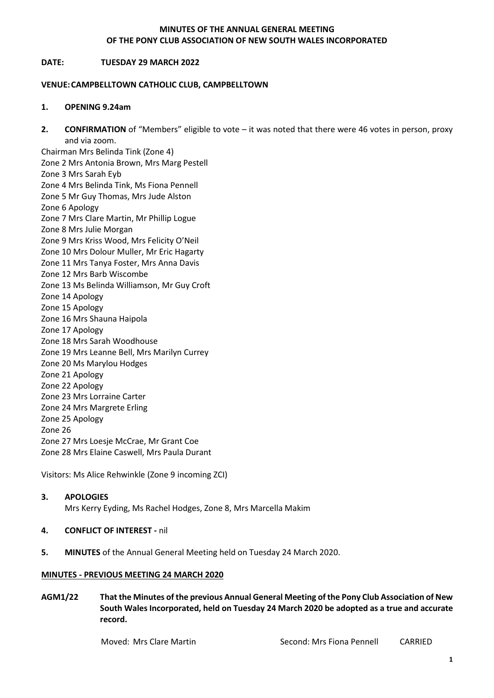#### **MINUTES OF THE ANNUAL GENERAL MEETING OF THE PONY CLUB ASSOCIATION OF NEW SOUTH WALES INCORPORATED**

#### **DATE: TUESDAY 29 MARCH 2022**

#### **VENUE:CAMPBELLTOWN CATHOLIC CLUB, CAMPBELLTOWN**

#### **1. OPENING 9.24am**

**2. CONFIRMATION** of "Members" eligible to vote – it was noted that there were 46 votes in person, proxy and via zoom.

Chairman Mrs Belinda Tink (Zone 4) Zone 2 Mrs Antonia Brown, Mrs Marg Pestell Zone 3 Mrs Sarah Eyb Zone 4 Mrs Belinda Tink, Ms Fiona Pennell Zone 5 Mr Guy Thomas, Mrs Jude Alston Zone 6 Apology Zone 7 Mrs Clare Martin, Mr Phillip Logue Zone 8 Mrs Julie Morgan Zone 9 Mrs Kriss Wood, Mrs Felicity O'Neil Zone 10 Mrs Dolour Muller, Mr Eric Hagarty Zone 11 Mrs Tanya Foster, Mrs Anna Davis Zone 12 Mrs Barb Wiscombe Zone 13 Ms Belinda Williamson, Mr Guy Croft Zone 14 Apology Zone 15 Apology Zone 16 Mrs Shauna Haipola Zone 17 Apology Zone 18 Mrs Sarah Woodhouse Zone 19 Mrs Leanne Bell, Mrs Marilyn Currey Zone 20 Ms Marylou Hodges Zone 21 Apology Zone 22 Apology Zone 23 Mrs Lorraine Carter Zone 24 Mrs Margrete Erling Zone 25 Apology Zone 26 Zone 27 Mrs Loesje McCrae, Mr Grant Coe Zone 28 Mrs Elaine Caswell, Mrs Paula Durant

Visitors: Ms Alice Rehwinkle (Zone 9 incoming ZCI)

## **3. APOLOGIES**

Mrs Kerry Eyding, Ms Rachel Hodges, Zone 8, Mrs Marcella Makim

## **4. CONFLICT OF INTEREST -** nil

**5. MINUTES** of the Annual General Meeting held on Tuesday 24 March 2020.

#### **MINUTES - PREVIOUS MEETING 24 MARCH 2020**

**AGM1/22 That the Minutes of the previous Annual General Meeting of the Pony Club Association of New South Wales Incorporated, held on Tuesday 24 March 2020 be adopted as a true and accurate record.**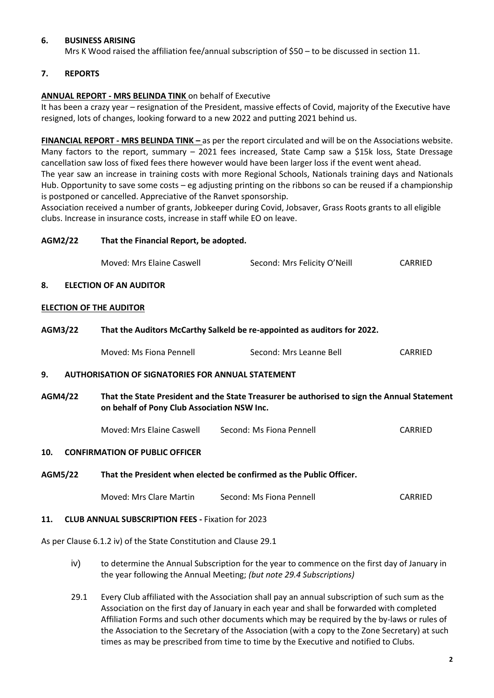## **6. BUSINESS ARISING**

Mrs K Wood raised the affiliation fee/annual subscription of \$50 – to be discussed in section 11.

#### **7. REPORTS**

#### **ANNUAL REPORT - MRS BELINDA TINK** on behalf of Executive

It has been a crazy year – resignation of the President, massive effects of Covid, majority of the Executive have resigned, lots of changes, looking forward to a new 2022 and putting 2021 behind us.

**FINANCIAL REPORT - MRS BELINDA TINK –** as per the report circulated and will be on the Associations website. Many factors to the report, summary – 2021 fees increased, State Camp saw a \$15k loss, State Dressage cancellation saw loss of fixed fees there however would have been larger loss if the event went ahead. The year saw an increase in training costs with more Regional Schools, Nationals training days and Nationals Hub. Opportunity to save some costs – eg adjusting printing on the ribbons so can be reused if a championship is postponed or cancelled. Appreciative of the Ranvet sponsorship.

Association received a number of grants, Jobkeeper during Covid, Jobsaver, Grass Roots grants to all eligible clubs. Increase in insurance costs, increase in staff while EO on leave.

#### **AGM2/22 That the Financial Report, be adopted.**

| Moved: Mrs Elaine Caswell | Second: Mrs Felicity O'Neill | <b>CARRIED</b> |
|---------------------------|------------------------------|----------------|
|                           |                              |                |

#### **8. ELECTION OF AN AUDITOR**

#### **ELECTION OF THE AUDITOR**

#### **AGM3/22 That the Auditors McCarthy Salkeld be re-appointed as auditors for 2022.**

| Moved: Ms Fiona Pennell | Second: Mrs Leanne Bell | <b>CARRIED</b> |
|-------------------------|-------------------------|----------------|
|                         |                         |                |

#### **9. AUTHORISATION OF SIGNATORIES FOR ANNUAL STATEMENT**

**AGM4/22 That the State President and the State Treasurer be authorised to sign the Annual Statement on behalf of Pony Club Association NSW Inc.**

Moved: Mrs Elaine Caswell Second: Ms Fiona Pennell CARRIED

#### **10. CONFIRMATION OF PUBLIC OFFICER**

#### **AGM5/22 That the President when elected be confirmed as the Public Officer.**

| Moved: Mrs Clare Martin | Second: Ms Fiona Pennell | <b>CARRIED</b> |
|-------------------------|--------------------------|----------------|
|                         |                          |                |

#### **11. CLUB ANNUAL SUBSCRIPTION FEES -** Fixation for 2023

As per Clause 6.1.2 iv) of the State Constitution and Clause 29.1

- iv) to determine the Annual Subscription for the year to commence on the first day of January in the year following the Annual Meeting; *(but note 29.4 Subscriptions)*
- 29.1 Every Club affiliated with the Association shall pay an annual subscription of such sum as the Association on the first day of January in each year and shall be forwarded with completed Affiliation Forms and such other documents which may be required by the by-laws or rules of the Association to the Secretary of the Association (with a copy to the Zone Secretary) at such times as may be prescribed from time to time by the Executive and notified to Clubs.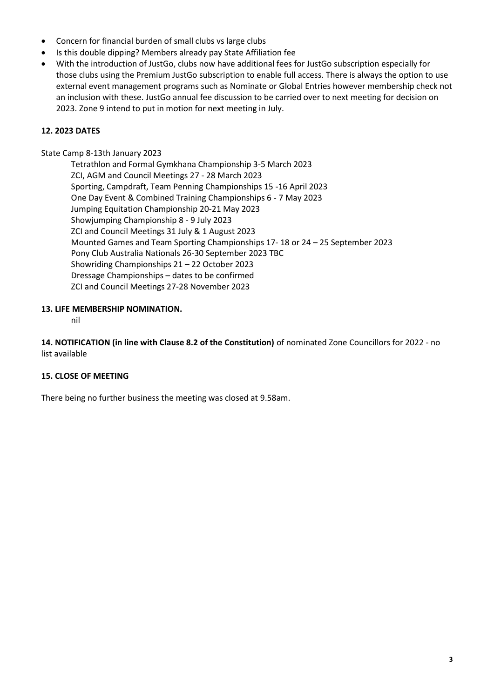- Concern for financial burden of small clubs vs large clubs
- Is this double dipping? Members already pay State Affiliation fee
- With the introduction of JustGo, clubs now have additional fees for JustGo subscription especially for those clubs using the Premium JustGo subscription to enable full access. There is always the option to use external event management programs such as Nominate or Global Entries however membership check not an inclusion with these. JustGo annual fee discussion to be carried over to next meeting for decision on 2023. Zone 9 intend to put in motion for next meeting in July.

# **12. 2023 DATES**

State Camp 8-13th January 2023

Tetrathlon and Formal Gymkhana Championship 3-5 March 2023 ZCI, AGM and Council Meetings 27 - 28 March 2023 Sporting, Campdraft, Team Penning Championships 15 -16 April 2023 One Day Event & Combined Training Championships 6 - 7 May 2023 Jumping Equitation Championship 20-21 May 2023 Showjumping Championship 8 - 9 July 2023 ZCI and Council Meetings 31 July & 1 August 2023 Mounted Games and Team Sporting Championships 17- 18 or 24 – 25 September 2023 Pony Club Australia Nationals 26-30 September 2023 TBC Showriding Championships 21 – 22 October 2023 Dressage Championships – dates to be confirmed ZCI and Council Meetings 27-28 November 2023

## **13. LIFE MEMBERSHIP NOMINATION.**

nil

**14. NOTIFICATION (in line with Clause 8.2 of the Constitution)** of nominated Zone Councillors for 2022 - no list available

# **15. CLOSE OF MEETING**

There being no further business the meeting was closed at 9.58am.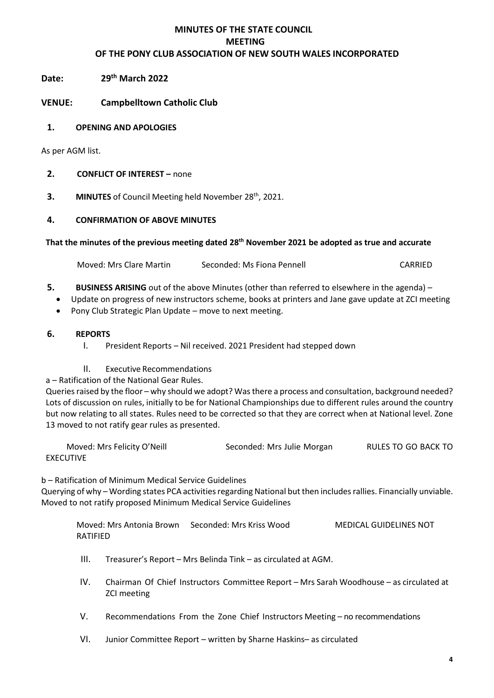# **MINUTES OF THE STATE COUNCIL MEETING OF THE PONY CLUB ASSOCIATION OF NEW SOUTH WALES INCORPORATED**

Date: **th March 2022**

**VENUE: Campbelltown Catholic Club**

## **1. OPENING AND APOLOGIES**

As per AGM list.

# **2. CONFLICT OF INTEREST –** none

**3. MINUTES** of Council Meeting held November 28<sup>th</sup>, 2021.

## **4. CONFIRMATION OF ABOVE MINUTES**

## **That the minutes of the previous meeting dated 28th November 2021 be adopted as true and accurate**

Moved: Mrs Clare Martin Seconded: Ms Fiona Pennell CARRIED

- **5. BUSINESS ARISING** out of the above Minutes (other than referred to elsewhere in the agenda)
	- Update on progress of new instructors scheme, books at printers and Jane gave update at ZCI meeting
	- Pony Club Strategic Plan Update move to next meeting.

## **6. REPORTS**

- I. President Reports Nil received. 2021 President had stepped down
- II. Executive Recommendations

a – Ratification of the National Gear Rules.

Queries raised by the floor – why should we adopt? Was there a process and consultation, background needed? Lots of discussion on rules, initially to be for National Championships due to different rules around the country but now relating to all states. Rules need to be corrected so that they are correct when at National level. Zone 13 moved to not ratify gear rules as presented.

Moved: Mrs Felicity O'Neill Seconded: Mrs Julie Morgan RULES TO GO BACK TO EXECUTIVE

b – Ratification of Minimum Medical Service Guidelines

Querying of why - Wording states PCA activities regarding National but then includes rallies. Financially unviable. Moved to not ratify proposed Minimum Medical Service Guidelines

Moved: Mrs Antonia Brown Seconded: Mrs Kriss Wood MEDICAL GUIDELINES NOT RATIFIED

- III. Treasurer's Report Mrs Belinda Tink as circulated at AGM.
- IV. Chairman Of Chief Instructors Committee Report Mrs Sarah Woodhouse as circulated at ZCI meeting
- V. Recommendations From the Zone Chief Instructors Meeting no recommendations
- VI. Junior Committee Report written by Sharne Haskins– as circulated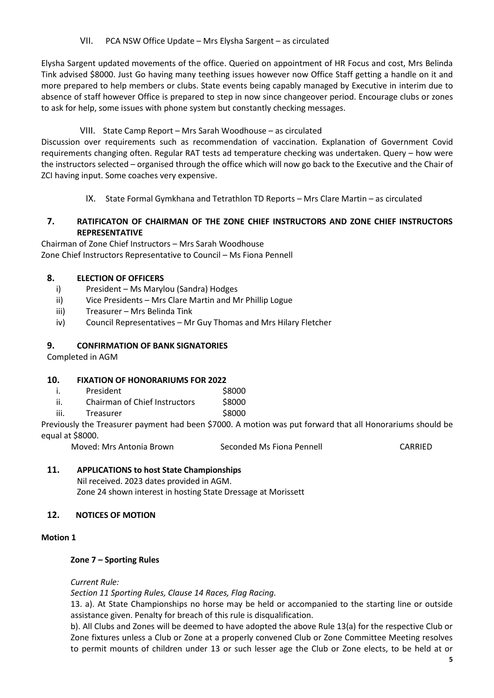VII. PCA NSW Office Update – Mrs Elysha Sargent – as circulated

Elysha Sargent updated movements of the office. Queried on appointment of HR Focus and cost, Mrs Belinda Tink advised \$8000. Just Go having many teething issues however now Office Staff getting a handle on it and more prepared to help members or clubs. State events being capably managed by Executive in interim due to absence of staff however Office is prepared to step in now since changeover period. Encourage clubs or zones to ask for help, some issues with phone system but constantly checking messages.

# VIII. State Camp Report – Mrs Sarah Woodhouse – as circulated

Discussion over requirements such as recommendation of vaccination. Explanation of Government Covid requirements changing often. Regular RAT tests ad temperature checking was undertaken. Query – how were the instructors selected – organised through the office which will now go back to the Executive and the Chair of ZCI having input. Some coaches very expensive.

IX. State Formal Gymkhana and Tetrathlon TD Reports – Mrs Clare Martin – as circulated

# **7. RATIFICATON OF CHAIRMAN OF THE ZONE CHIEF INSTRUCTORS AND ZONE CHIEF INSTRUCTORS REPRESENTATIVE**

Chairman of Zone Chief Instructors – Mrs Sarah Woodhouse Zone Chief Instructors Representative to Council – Ms Fiona Pennell

# **8. ELECTION OF OFFICERS**

- i) President Ms Marylou (Sandra) Hodges
- ii) Vice Presidents Mrs Clare Martin and Mr Phillip Logue
- iii) Treasurer Mrs Belinda Tink
- iv) Council Representatives Mr Guy Thomas and Mrs Hilary Fletcher

# **9. CONFIRMATION OF BANK SIGNATORIES**

Completed in AGM

## **10. FIXATION OF HONORARIUMS FOR 2022**

- i. President 58000
- ii. Chairman of Chief Instructors \$8000
- iii. Treasurer **\$8000**

Previously the Treasurer payment had been \$7000. A motion was put forward that all Honorariums should be equal at \$8000.

Moved: Mrs Antonia Brown Seconded Ms Fiona Pennell CARRIED

# **11. APPLICATIONS to host State Championships**

Nil received. 2023 dates provided in AGM. Zone 24 shown interest in hosting State Dressage at Morissett

## **12. NOTICES OF MOTION**

#### **Motion 1**

## **Zone 7 – Sporting Rules**

*Current Rule:*

*Section 11 Sporting Rules, Clause 14 Races, Flag Racing.*

13. a). At State Championships no horse may be held or accompanied to the starting line or outside assistance given. Penalty for breach of this rule is disqualification.

b). All Clubs and Zones will be deemed to have adopted the above Rule 13(a) for the respective Club or Zone fixtures unless a Club or Zone at a properly convened Club or Zone Committee Meeting resolves to permit mounts of children under 13 or such lesser age the Club or Zone elects, to be held at or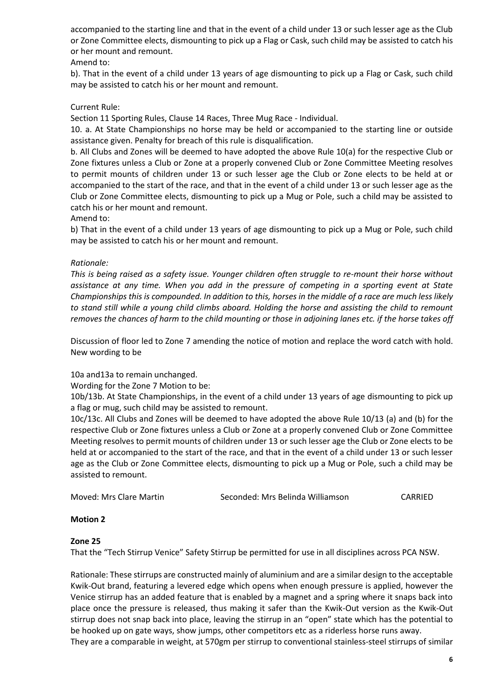accompanied to the starting line and that in the event of a child under 13 or such lesser age as the Club or Zone Committee elects, dismounting to pick up a Flag or Cask, such child may be assisted to catch his or her mount and remount.

Amend to:

b). That in the event of a child under 13 years of age dismounting to pick up a Flag or Cask, such child may be assisted to catch his or her mount and remount.

## Current Rule:

Section 11 Sporting Rules, Clause 14 Races, Three Mug Race - Individual.

10. a. At State Championships no horse may be held or accompanied to the starting line or outside assistance given. Penalty for breach of this rule is disqualification.

b. All Clubs and Zones will be deemed to have adopted the above Rule 10(a) for the respective Club or Zone fixtures unless a Club or Zone at a properly convened Club or Zone Committee Meeting resolves to permit mounts of children under 13 or such lesser age the Club or Zone elects to be held at or accompanied to the start of the race, and that in the event of a child under 13 or such lesser age as the Club or Zone Committee elects, dismounting to pick up a Mug or Pole, such a child may be assisted to catch his or her mount and remount.

Amend to:

b) That in the event of a child under 13 years of age dismounting to pick up a Mug or Pole, such child may be assisted to catch his or her mount and remount.

#### *Rationale:*

*This is being raised as a safety issue. Younger children often struggle to re-mount their horse without assistance at any time. When you add in the pressure of competing in a sporting event at State Championships this is compounded. In addition to this, horses in the middle of a race are much less likely to stand still while a young child climbs aboard. Holding the horse and assisting the child to remount removes the chances of harm to the child mounting or those in adjoining lanes etc. if the horse takes off*

Discussion of floor led to Zone 7 amending the notice of motion and replace the word catch with hold. New wording to be

10a and13a to remain unchanged.

Wording for the Zone 7 Motion to be:

10b/13b. At State Championships, in the event of a child under 13 years of age dismounting to pick up a flag or mug, such child may be assisted to remount.

10c/13c. All Clubs and Zones will be deemed to have adopted the above Rule 10/13 (a) and (b) for the respective Club or Zone fixtures unless a Club or Zone at a properly convened Club or Zone Committee Meeting resolves to permit mounts of children under 13 or such lesser age the Club or Zone elects to be held at or accompanied to the start of the race, and that in the event of a child under 13 or such lesser age as the Club or Zone Committee elects, dismounting to pick up a Mug or Pole, such a child may be assisted to remount.

| Moved: Mrs Clare Martin | Seconded: Mrs Belinda Williamson | CARRIED |
|-------------------------|----------------------------------|---------|
|                         |                                  |         |

## **Motion 2**

#### **Zone 25**

That the "Tech Stirrup Venice" Safety Stirrup be permitted for use in all disciplines across PCA NSW.

Rationale: These stirrups are constructed mainly of aluminium and are a similar design to the acceptable Kwik-Out brand, featuring a levered edge which opens when enough pressure is applied, however the Venice stirrup has an added feature that is enabled by a magnet and a spring where it snaps back into place once the pressure is released, thus making it safer than the Kwik-Out version as the Kwik-Out stirrup does not snap back into place, leaving the stirrup in an "open" state which has the potential to be hooked up on gate ways, show jumps, other competitors etc as a riderless horse runs away. They are a comparable in weight, at 570gm per stirrup to conventional stainless-steel stirrups of similar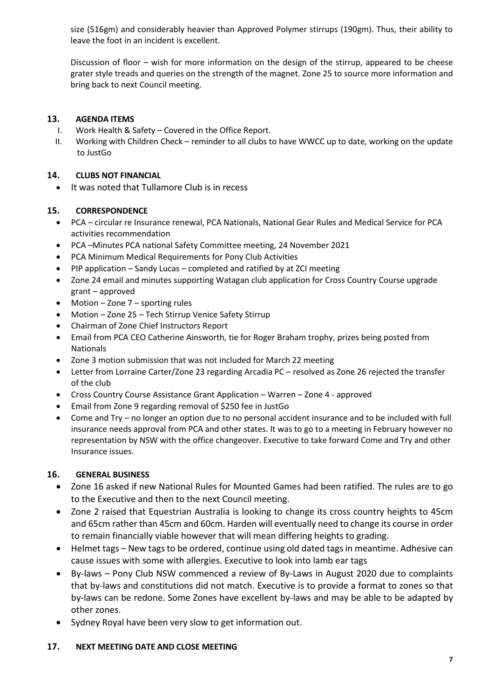size (516gm) and considerably heavier than Approved Polymer stirrups (190gm). Thus, their ability to leave the foot in an incident is excellent.

Discussion of floor – wish for more information on the design of the stirrup, appeared to be cheese grater style treads and queries on the strength of the magnet. Zone 25 to source more information and bring back to next Council meeting.

# **13. AGENDA ITEMS**

- I. Work Health & Safety Covered in the Office Report.
- II. Working with Children Check reminder to all clubs to have WWCC up to date, working on the update to JustGo

# **14. CLUBS NOT FINANCIAL**

It was noted that Tullamore Club is in recess

# **15. CORRESPONDENCE**

- PCA circular re Insurance renewal, PCA Nationals, National Gear Rules and Medical Service for PCA activities recommendation
- PCA –Minutes PCA national Safety Committee meeting, 24 November 2021
- PCA Minimum Medical Requirements for Pony Club Activities
- PIP application Sandy Lucas completed and ratified by at ZCI meeting
- Zone 24 email and minutes supporting Watagan club application for Cross Country Course upgrade grant – approved
- Motion Zone 7 sporting rules
- Motion Zone 25 Tech Stirrup Venice Safety Stirrup
- Chairman of Zone Chief Instructors Report
- Email from PCA CEO Catherine Ainsworth, tie for Roger Braham trophy, prizes being posted from Nationals
- Zone 3 motion submission that was not included for March 22 meeting
- Letter from Lorraine Carter/Zone 23 regarding Arcadia PC resolved as Zone 26 rejected the transfer of the club
- Cross Country Course Assistance Grant Application Warren Zone 4 approved
- Email from Zone 9 regarding removal of \$250 fee in JustGo
- Come and Try no longer an option due to no personal accident insurance and to be included with full insurance needs approval from PCA and other states. It was to go to a meeting in February however no representation by NSW with the office changeover. Executive to take forward Come and Try and other Insurance issues.

# **16. GENERAL BUSINESS**

- Zone 16 asked if new National Rules for Mounted Games had been ratified. The rules are to go to the Executive and then to the next Council meeting.
- Zone 2 raised that Equestrian Australia is looking to change its cross country heights to 45cm and 65cm rather than 45cm and 60cm. Harden will eventually need to change its course in order to remain financially viable however that will mean differing heights to grading.
- Helmet tags New tags to be ordered, continue using old dated tags in meantime. Adhesive can cause issues with some with allergies. Executive to look into lamb ear tags
- By-laws Pony Club NSW commenced a review of By-Laws in August 2020 due to complaints that by-laws and constitutions did not match. Executive is to provide a format to zones so that by-laws can be redone. Some Zones have excellent by-laws and may be able to be adapted by other zones.
- Sydney Royal have been very slow to get information out.

## **17. NEXT MEETING DATE AND CLOSE MEETING**